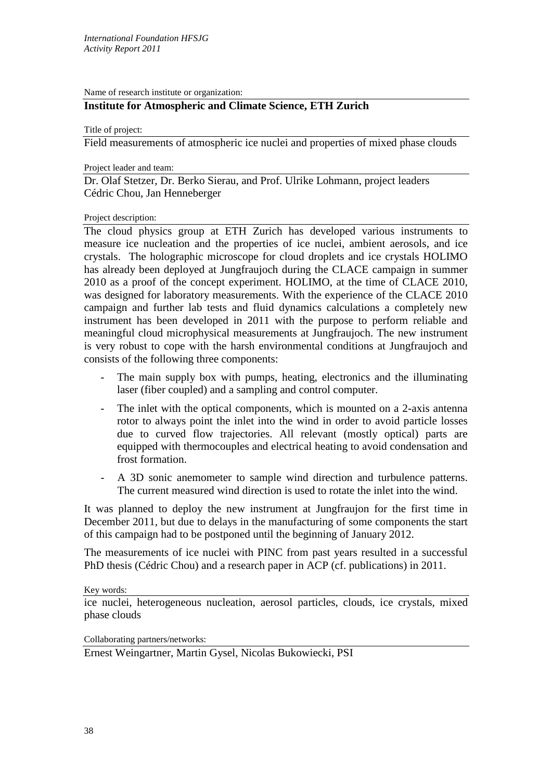Name of research institute or organization:

## **Institute for Atmospheric and Climate Science, ETH Zurich**

Title of project:

Field measurements of atmospheric ice nuclei and properties of mixed phase clouds

Project leader and team:

Dr. Olaf Stetzer, Dr. Berko Sierau, and Prof. Ulrike Lohmann, project leaders Cédric Chou, Jan Henneberger

## Project description:

The cloud physics group at ETH Zurich has developed various instruments to measure ice nucleation and the properties of ice nuclei, ambient aerosols, and ice crystals. The holographic microscope for cloud droplets and ice crystals HOLIMO has already been deployed at Jungfraujoch during the CLACE campaign in summer 2010 as a proof of the concept experiment. HOLIMO, at the time of CLACE 2010, was designed for laboratory measurements. With the experience of the CLACE 2010 campaign and further lab tests and fluid dynamics calculations a completely new instrument has been developed in 2011 with the purpose to perform reliable and meaningful cloud microphysical measurements at Jungfraujoch. The new instrument is very robust to cope with the harsh environmental conditions at Jungfraujoch and consists of the following three components:

- The main supply box with pumps, heating, electronics and the illuminating laser (fiber coupled) and a sampling and control computer.
- The inlet with the optical components, which is mounted on a 2-axis antenna rotor to always point the inlet into the wind in order to avoid particle losses due to curved flow trajectories. All relevant (mostly optical) parts are equipped with thermocouples and electrical heating to avoid condensation and frost formation.
- A 3D sonic anemometer to sample wind direction and turbulence patterns. The current measured wind direction is used to rotate the inlet into the wind.

It was planned to deploy the new instrument at Jungfraujon for the first time in December 2011, but due to delays in the manufacturing of some components the start of this campaign had to be postponed until the beginning of January 2012.

The measurements of ice nuclei with PINC from past years resulted in a successful PhD thesis (Cédric Chou) and a research paper in ACP (cf. publications) in 2011.

Key words:

ice nuclei, heterogeneous nucleation, aerosol particles, clouds, ice crystals, mixed phase clouds

Collaborating partners/networks:

Ernest Weingartner, Martin Gysel, Nicolas Bukowiecki, PSI